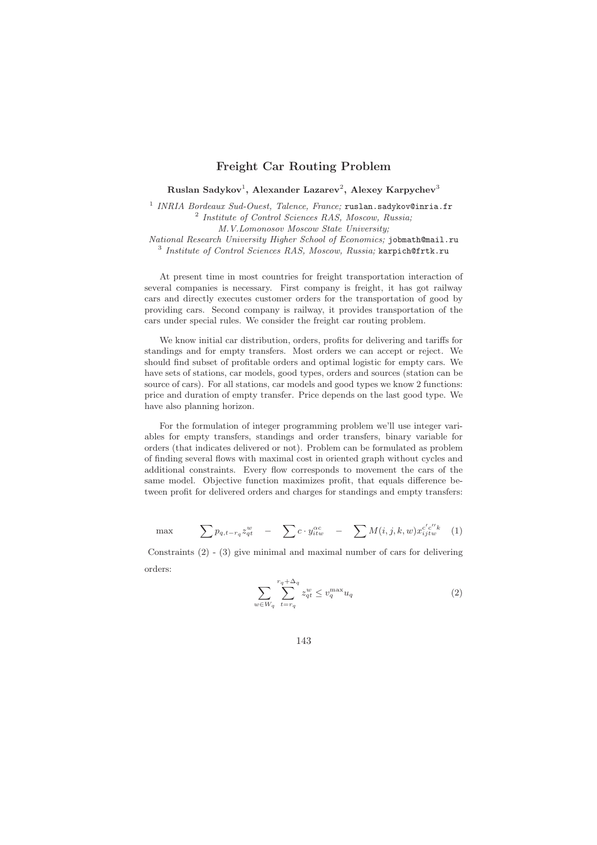## **Freight Car Routing Problem**

**Ruslan Sadykov**1**, Alexander Lazarev**2**, Alexey Karpychev**<sup>3</sup>

<sup>1</sup> INRIA Bordeaux Sud-Ouest, Talence, France: ruslan.sadykov@inria.fr <sup>2</sup> Institute of Control Sciences RAS, Moscow, Russia; M.V.Lomonosov Moscow State University; National Research University Higher School of Economics; jobmath@mail.ru  $3$  Institute of Control Sciences RAS, Moscow, Russia; karpich@frtk.ru

At present time in most countries for freight transportation interaction of several companies is necessary. First company is freight, it has got railway cars and directly executes customer orders for the transportation of good by providing cars. Second company is railway, it provides transportation of the cars under special rules. We consider the freight car routing problem.

We know initial car distribution, orders, profits for delivering and tariffs for standings and for empty transfers. Most orders we can accept or reject. We should find subset of profitable orders and optimal logistic for empty cars. We have sets of stations, car models, good types, orders and sources (station can be source of cars). For all stations, car models and good types we know 2 functions: price and duration of empty transfer. Price depends on the last good type. We have also planning horizon.

For the formulation of integer programming problem we'll use integer variables for empty transfers, standings and order transfers, binary variable for orders (that indicates delivered or not). Problem can be formulated as problem of finding several flows with maximal cost in oriented graph without cycles and additional constraints. Every flow corresponds to movement the cars of the same model. Objective function maximizes profit, that equals difference between profit for delivered orders and charges for standings and empty transfers:

$$
\max \qquad \sum p_{q,t-r_q} z_{qt}^w \quad - \quad \sum c \cdot y_{itw}^{\alpha c} \quad - \quad \sum M(i,j,k,w) x_{ijtw}^{c'c''k} \quad (1)
$$

Constraints (2) - (3) give minimal and maximal number of cars for delivering orders:

$$
\sum_{w \in W_q} \sum_{t=r_q}^{r_q + \Delta_q} z_{qt}^w \le v_q^{\max} u_q \tag{2}
$$

143